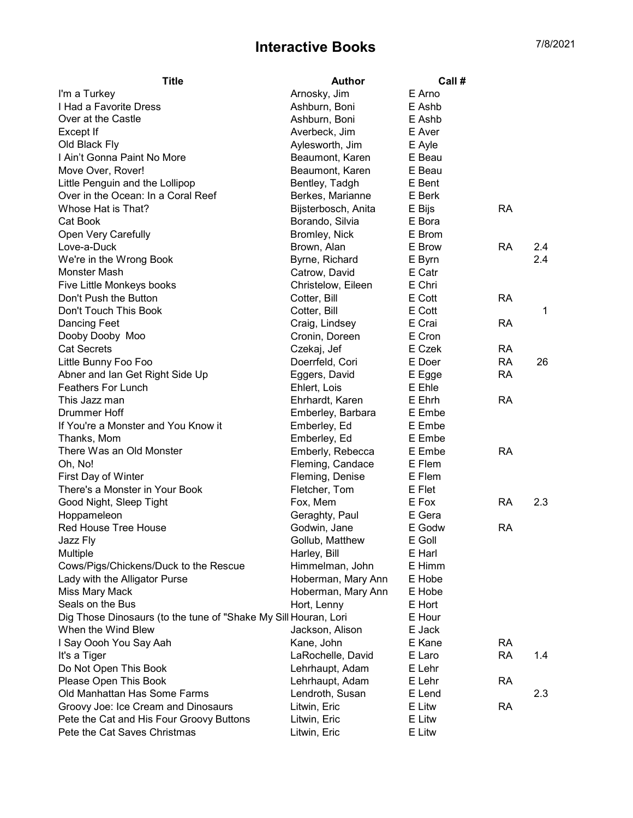## Interactive Books 7/8/2021

| <b>Title</b>                                                    | <b>Author</b>       | Call # |           |     |
|-----------------------------------------------------------------|---------------------|--------|-----------|-----|
| I'm a Turkey                                                    | Arnosky, Jim        | E Arno |           |     |
| I Had a Favorite Dress                                          | Ashburn, Boni       | E Ashb |           |     |
| Over at the Castle                                              | Ashburn, Boni       | E Ashb |           |     |
| Except If                                                       | Averbeck, Jim       | E Aver |           |     |
| Old Black Fly                                                   | Aylesworth, Jim     | E Ayle |           |     |
| I Ain't Gonna Paint No More                                     | Beaumont, Karen     | E Beau |           |     |
| Move Over, Rover!                                               | Beaumont, Karen     | E Beau |           |     |
| Little Penguin and the Lollipop                                 | Bentley, Tadgh      | E Bent |           |     |
| Over in the Ocean: In a Coral Reef                              | Berkes, Marianne    | E Berk |           |     |
| Whose Hat is That?                                              | Bijsterbosch, Anita | E Bijs | <b>RA</b> |     |
| Cat Book                                                        | Borando, Silvia     | E Bora |           |     |
| Open Very Carefully                                             | Bromley, Nick       | E Brom |           |     |
| Love-a-Duck                                                     | Brown, Alan         | E Brow | <b>RA</b> | 2.4 |
| We're in the Wrong Book                                         | Byrne, Richard      | E Byrn |           | 2.4 |
| Monster Mash                                                    | Catrow, David       | E Catr |           |     |
| Five Little Monkeys books                                       | Christelow, Eileen  | E Chri |           |     |
| Don't Push the Button                                           | Cotter, Bill        | E Cott | <b>RA</b> |     |
| Don't Touch This Book                                           | Cotter, Bill        | E Cott |           | 1   |
| Dancing Feet                                                    | Craig, Lindsey      | E Crai | RA        |     |
| Dooby Dooby Moo                                                 | Cronin, Doreen      | E Cron |           |     |
| <b>Cat Secrets</b>                                              | Czekaj, Jef         | E Czek | <b>RA</b> |     |
| Little Bunny Foo Foo                                            | Doerrfeld, Cori     | E Doer | <b>RA</b> | 26  |
| Abner and Ian Get Right Side Up                                 | Eggers, David       | E Egge | <b>RA</b> |     |
| <b>Feathers For Lunch</b>                                       | Ehlert, Lois        | E Ehle |           |     |
| This Jazz man                                                   | Ehrhardt, Karen     | E Ehrh | <b>RA</b> |     |
| Drummer Hoff                                                    | Emberley, Barbara   | E Embe |           |     |
| If You're a Monster and You Know it                             | Emberley, Ed        | E Embe |           |     |
| Thanks, Mom                                                     | Emberley, Ed        | E Embe |           |     |
| There Was an Old Monster                                        | Emberly, Rebecca    | E Embe | <b>RA</b> |     |
| Oh, No!                                                         | Fleming, Candace    | E Flem |           |     |
| First Day of Winter                                             | Fleming, Denise     | E Flem |           |     |
| There's a Monster in Your Book                                  | Fletcher, Tom       | E Flet |           |     |
| Good Night, Sleep Tight                                         | Fox, Mem            | E Fox  | <b>RA</b> | 2.3 |
| Hoppameleon                                                     | Geraghty, Paul      | E Gera |           |     |
| Red House Tree House                                            | Godwin, Jane        | E Godw | <b>RA</b> |     |
| Jazz Fly                                                        | Gollub, Matthew     | E Goll |           |     |
| Multiple                                                        | Harley, Bill        | E Harl |           |     |
| Cows/Pigs/Chickens/Duck to the Rescue                           | Himmelman, John     | E Himm |           |     |
| Lady with the Alligator Purse                                   | Hoberman, Mary Ann  | E Hobe |           |     |
| Miss Mary Mack                                                  | Hoberman, Mary Ann  | E Hobe |           |     |
| Seals on the Bus                                                | Hort, Lenny         | E Hort |           |     |
| Dig Those Dinosaurs (to the tune of "Shake My Sill Houran, Lori |                     | E Hour |           |     |
| When the Wind Blew                                              | Jackson, Alison     | E Jack |           |     |
| I Say Oooh You Say Aah                                          | Kane, John          | E Kane | RA        |     |
| It's a Tiger                                                    | LaRochelle, David   | E Laro | <b>RA</b> | 1.4 |
| Do Not Open This Book                                           | Lehrhaupt, Adam     | E Lehr |           |     |
| Please Open This Book                                           | Lehrhaupt, Adam     | E Lehr | <b>RA</b> |     |
| Old Manhattan Has Some Farms                                    | Lendroth, Susan     | E Lend |           | 2.3 |
| Groovy Joe: Ice Cream and Dinosaurs                             | Litwin, Eric        | E Litw | <b>RA</b> |     |
| Pete the Cat and His Four Groovy Buttons                        | Litwin, Eric        | E Litw |           |     |
| Pete the Cat Saves Christmas                                    | Litwin, Eric        | E Litw |           |     |